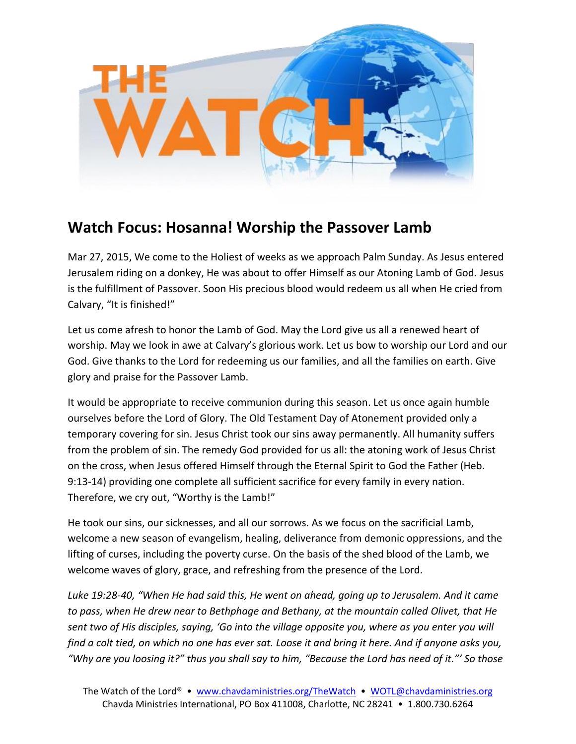

## **Watch Focus: Hosanna! Worship the Passover Lamb**

Mar 27, 2015, We come to the Holiest of weeks as we approach Palm Sunday. As Jesus entered Jerusalem riding on a donkey, He was about to offer Himself as our Atoning Lamb of God. Jesus is the fulfillment of Passover. Soon His precious blood would redeem us all when He cried from Calvary, "It is finished!"

Let us come afresh to honor the Lamb of God. May the Lord give us all a renewed heart of worship. May we look in awe at Calvary's glorious work. Let us bow to worship our Lord and our God. Give thanks to the Lord for redeeming us our families, and all the families on earth. Give glory and praise for the Passover Lamb.

It would be appropriate to receive communion during this season. Let us once again humble ourselves before the Lord of Glory. The Old Testament Day of Atonement provided only a temporary covering for sin. Jesus Christ took our sins away permanently. All humanity suffers from the problem of sin. The remedy God provided for us all: the atoning work of Jesus Christ on the cross, when Jesus offered Himself through the Eternal Spirit to God the Father (Heb. 9:13-14) providing one complete all sufficient sacrifice for every family in every nation. Therefore, we cry out, "Worthy is the Lamb!"

He took our sins, our sicknesses, and all our sorrows. As we focus on the sacrificial Lamb, welcome a new season of evangelism, healing, deliverance from demonic oppressions, and the lifting of curses, including the poverty curse. On the basis of the shed blood of the Lamb, we welcome waves of glory, grace, and refreshing from the presence of the Lord.

*Luke 19:28-40, "When He had said this, He went on ahead, going up to Jerusalem. And it came to pass, when He drew near to Bethphage and Bethany, at the mountain called Olivet, that He sent two of His disciples, saying, 'Go into the village opposite you, where as you enter you will find a colt tied, on which no one has ever sat. Loose it and bring it here. And if anyone asks you, "Why are you loosing it?" thus you shall say to him, "Because the Lord has need of it."' So those*